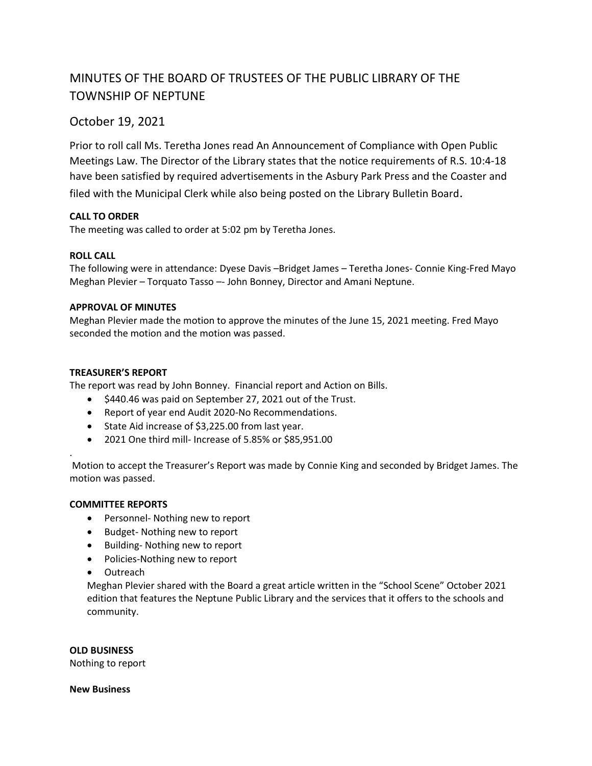# MINUTES OF THE BOARD OF TRUSTEES OF THE PUBLIC LIBRARY OF THE TOWNSHIP OF NEPTUNE

# October 19, 2021

Prior to roll call Ms. Teretha Jones read An Announcement of Compliance with Open Public Meetings Law. The Director of the Library states that the notice requirements of R.S. 10:4-18 have been satisfied by required advertisements in the Asbury Park Press and the Coaster and

filed with the Municipal Clerk while also being posted on the Library Bulletin Board.

# **CALL TO ORDER**

The meeting was called to order at 5:02 pm by Teretha Jones.

# **ROLL CALL**

The following were in attendance: Dyese Davis –Bridget James – Teretha Jones- Connie King-Fred Mayo Meghan Plevier – Torquato Tasso –- John Bonney, Director and Amani Neptune.

#### **APPROVAL OF MINUTES**

Meghan Plevier made the motion to approve the minutes of the June 15, 2021 meeting. Fred Mayo seconded the motion and the motion was passed.

# **TREASURER'S REPORT**

The report was read by John Bonney. Financial report and Action on Bills.

- $\bullet$  \$440.46 was paid on September 27, 2021 out of the Trust.
- Report of year end Audit 2020-No Recommendations.
- State Aid increase of \$3,225.00 from last year.
- 2021 One third mill- Increase of 5.85% or \$85,951.00

Motion to accept the Treasurer's Report was made by Connie King and seconded by Bridget James. The motion was passed.

#### **COMMITTEE REPORTS**

.

- Personnel- Nothing new to report
- Budget- Nothing new to report
- Building- Nothing new to report
- Policies-Nothing new to report
- Outreach

Meghan Plevier shared with the Board a great article written in the "School Scene" October 2021 edition that features the Neptune Public Library and the services that it offers to the schools and community.

#### **OLD BUSINESS**

Nothing to report

#### **New Business**